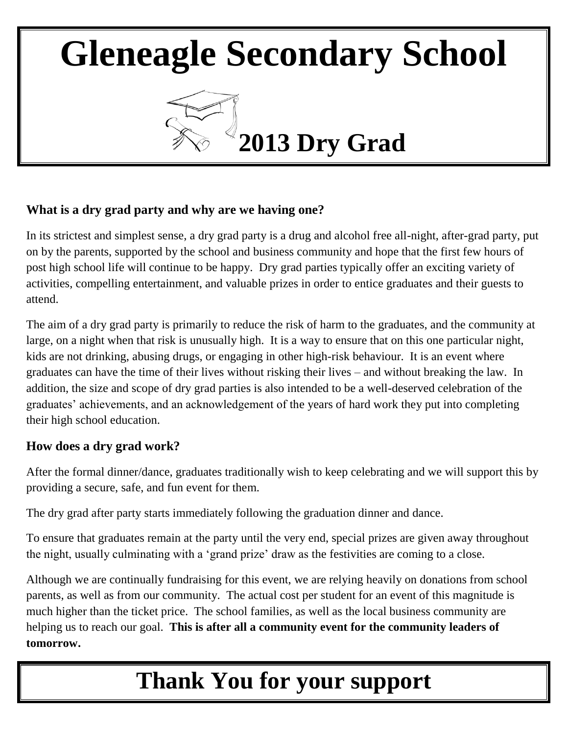

## **What is a dry grad party and why are we having one?**

In its strictest and simplest sense, a dry grad party is a drug and alcohol free all-night, after-grad party, put on by the parents, supported by the school and business community and hope that the first few hours of post high school life will continue to be happy. Dry grad parties typically offer an exciting variety of activities, compelling entertainment, and valuable prizes in order to entice graduates and their guests to attend.

The aim of a dry grad party is primarily to reduce the risk of harm to the graduates, and the community at large, on a night when that risk is unusually high. It is a way to ensure that on this one particular night, kids are not drinking, abusing drugs, or engaging in other high-risk behaviour. It is an event where graduates can have the time of their lives without risking their lives – and without breaking the law. In addition, the size and scope of dry grad parties is also intended to be a well-deserved celebration of the graduates' achievements, and an acknowledgement of the years of hard work they put into completing their high school education.

## **How does a dry grad work?**

After the formal dinner/dance, graduates traditionally wish to keep celebrating and we will support this by providing a secure, safe, and fun event for them.

The dry grad after party starts immediately following the graduation dinner and dance.

To ensure that graduates remain at the party until the very end, special prizes are given away throughout the night, usually culminating with a 'grand prize' draw as the festivities are coming to a close.

Although we are continually fundraising for this event, we are relying heavily on donations from school parents, as well as from our community. The actual cost per student for an event of this magnitude is much higher than the ticket price. The school families, as well as the local business community are helping us to reach our goal. **This is after all a community event for the community leaders of tomorrow.**

## **Thank You for your support**